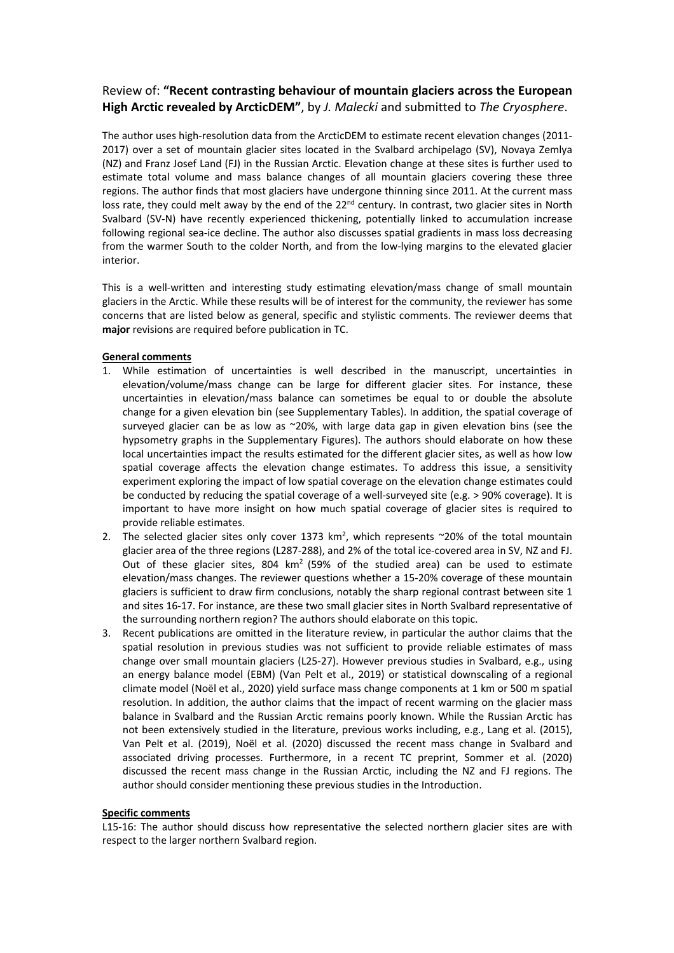# Review of: **"Recent contrasting behaviour of mountain glaciers across the European High Arctic revealed by ArcticDEM"**, by *J. Malecki* and submitted to *The Cryosphere*.

The author uses high-resolution data from the ArcticDEM to estimate recent elevation changes (2011- 2017) over a set of mountain glacier sites located in the Svalbard archipelago (SV), Novaya Zemlya (NZ) and Franz Josef Land (FJ) in the Russian Arctic. Elevation change at these sites is further used to estimate total volume and mass balance changes of all mountain glaciers covering these three regions. The author finds that most glaciers have undergone thinning since 2011. At the current mass loss rate, they could melt away by the end of the 22<sup>nd</sup> century. In contrast, two glacier sites in North Svalbard (SV-N) have recently experienced thickening, potentially linked to accumulation increase following regional sea-ice decline. The author also discusses spatial gradients in mass loss decreasing from the warmer South to the colder North, and from the low-lying margins to the elevated glacier interior.

This is a well-written and interesting study estimating elevation/mass change of small mountain glaciers in the Arctic. While these results will be of interest for the community, the reviewer has some concerns that are listed below as general, specific and stylistic comments. The reviewer deems that **major** revisions are required before publication in TC.

### **General comments**

- 1. While estimation of uncertainties is well described in the manuscript, uncertainties in elevation/volume/mass change can be large for different glacier sites. For instance, these uncertainties in elevation/mass balance can sometimes be equal to or double the absolute change for a given elevation bin (see Supplementary Tables). In addition, the spatial coverage of surveyed glacier can be as low as  $\sim$ 20%, with large data gap in given elevation bins (see the hypsometry graphs in the Supplementary Figures). The authors should elaborate on how these local uncertainties impact the results estimated for the different glacier sites, as well as how low spatial coverage affects the elevation change estimates. To address this issue, a sensitivity experiment exploring the impact of low spatial coverage on the elevation change estimates could be conducted by reducing the spatial coverage of a well-surveyed site (e.g. > 90% coverage). It is important to have more insight on how much spatial coverage of glacier sites is required to provide reliable estimates.
- 2. The selected glacier sites only cover 1373 km<sup>2</sup>, which represents  $\sim$ 20% of the total mountain glacier area of the three regions (L287-288), and 2% of the total ice-covered area in SV, NZ and FJ. Out of these glacier sites, 804  $km^2$  (59% of the studied area) can be used to estimate elevation/mass changes. The reviewer questions whether a 15-20% coverage of these mountain glaciers is sufficient to draw firm conclusions, notably the sharp regional contrast between site 1 and sites 16-17. For instance, are these two small glacier sites in North Svalbard representative of the surrounding northern region? The authors should elaborate on this topic.
- 3. Recent publications are omitted in the literature review, in particular the author claims that the spatial resolution in previous studies was not sufficient to provide reliable estimates of mass change over small mountain glaciers (L25-27). However previous studies in Svalbard, e.g., using an energy balance model (EBM) (Van Pelt et al., 2019) or statistical downscaling of a regional climate model (Noël et al., 2020) yield surface mass change components at 1 km or 500 m spatial resolution. In addition, the author claims that the impact of recent warming on the glacier mass balance in Svalbard and the Russian Arctic remains poorly known. While the Russian Arctic has not been extensively studied in the literature, previous works including, e.g., Lang et al. (2015), Van Pelt et al. (2019), Noël et al. (2020) discussed the recent mass change in Svalbard and associated driving processes. Furthermore, in a recent TC preprint, Sommer et al. (2020) discussed the recent mass change in the Russian Arctic, including the NZ and FJ regions. The author should consider mentioning these previous studies in the Introduction.

### **Specific comments**

L15-16: The author should discuss how representative the selected northern glacier sites are with respect to the larger northern Svalbard region.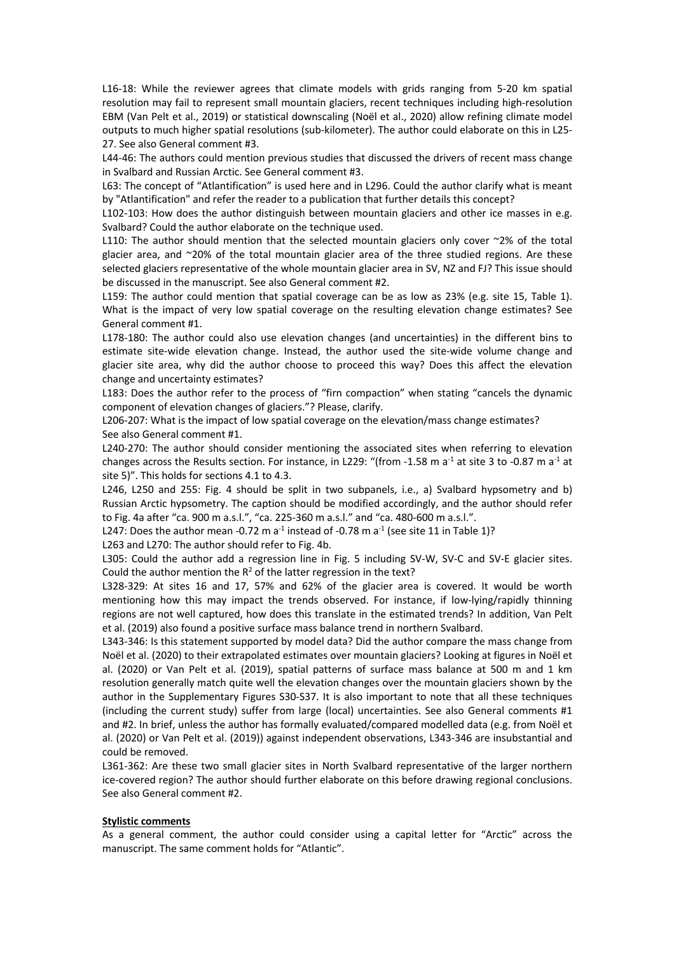L16-18: While the reviewer agrees that climate models with grids ranging from 5-20 km spatial resolution may fail to represent small mountain glaciers, recent techniques including high-resolution EBM (Van Pelt et al., 2019) or statistical downscaling (Noël et al., 2020) allow refining climate model outputs to much higher spatial resolutions (sub-kilometer). The author could elaborate on this in L25- 27. See also General comment #3.

L44-46: The authors could mention previous studies that discussed the drivers of recent mass change in Svalbard and Russian Arctic. See General comment #3.

L63: The concept of "Atlantification" is used here and in L296. Could the author clarify what is meant by "Atlantification" and refer the reader to a publication that further details this concept?

L102-103: How does the author distinguish between mountain glaciers and other ice masses in e.g. Svalbard? Could the author elaborate on the technique used.

L110: The author should mention that the selected mountain glaciers only cover ~2% of the total glacier area, and ~20% of the total mountain glacier area of the three studied regions. Are these selected glaciers representative of the whole mountain glacier area in SV, NZ and FJ? This issue should be discussed in the manuscript. See also General comment #2.

L159: The author could mention that spatial coverage can be as low as 23% (e.g. site 15, Table 1). What is the impact of very low spatial coverage on the resulting elevation change estimates? See General comment #1.

L178-180: The author could also use elevation changes (and uncertainties) in the different bins to estimate site-wide elevation change. Instead, the author used the site-wide volume change and glacier site area, why did the author choose to proceed this way? Does this affect the elevation change and uncertainty estimates?

L183: Does the author refer to the process of "firn compaction" when stating "cancels the dynamic component of elevation changes of glaciers."? Please, clarify.

L206-207: What is the impact of low spatial coverage on the elevation/mass change estimates? See also General comment #1.

L240-270: The author should consider mentioning the associated sites when referring to elevation changes across the Results section. For instance, in L229: "(from -1.58 m a<sup>-1</sup> at site 3 to -0.87 m a<sup>-1</sup> at site 5)". This holds for sections 4.1 to 4.3.

L246, L250 and 255: Fig. 4 should be split in two subpanels, i.e., a) Svalbard hypsometry and b) Russian Arctic hypsometry. The caption should be modified accordingly, and the author should refer to Fig. 4a after "ca. 900 m a.s.l.", "ca. 225-360 m a.s.l." and "ca. 480-600 m a.s.l.".

L247: Does the author mean -0.72 m  $a^{-1}$  instead of -0.78 m  $a^{-1}$  (see site 11 in Table 1)?

L263 and L270: The author should refer to Fig. 4b.

L305: Could the author add a regression line in Fig. 5 including SV-W, SV-C and SV-E glacier sites. Could the author mention the  $R^2$  of the latter regression in the text?

L328-329: At sites 16 and 17, 57% and 62% of the glacier area is covered. It would be worth mentioning how this may impact the trends observed. For instance, if low-lying/rapidly thinning regions are not well captured, how does this translate in the estimated trends? In addition, Van Pelt et al. (2019) also found a positive surface mass balance trend in northern Svalbard.

L343-346: Is this statement supported by model data? Did the author compare the mass change from Noël et al. (2020) to their extrapolated estimates over mountain glaciers? Looking at figures in Noël et al. (2020) or Van Pelt et al. (2019), spatial patterns of surface mass balance at 500 m and 1 km resolution generally match quite well the elevation changes over the mountain glaciers shown by the author in the Supplementary Figures S30-S37. It is also important to note that all these techniques (including the current study) suffer from large (local) uncertainties. See also General comments #1 and #2. In brief, unless the author has formally evaluated/compared modelled data (e.g. from Noël et al. (2020) or Van Pelt et al. (2019)) against independent observations, L343-346 are insubstantial and could be removed.

L361-362: Are these two small glacier sites in North Svalbard representative of the larger northern ice-covered region? The author should further elaborate on this before drawing regional conclusions. See also General comment #2.

#### **Stylistic comments**

As a general comment, the author could consider using a capital letter for "Arctic" across the manuscript. The same comment holds for "Atlantic".